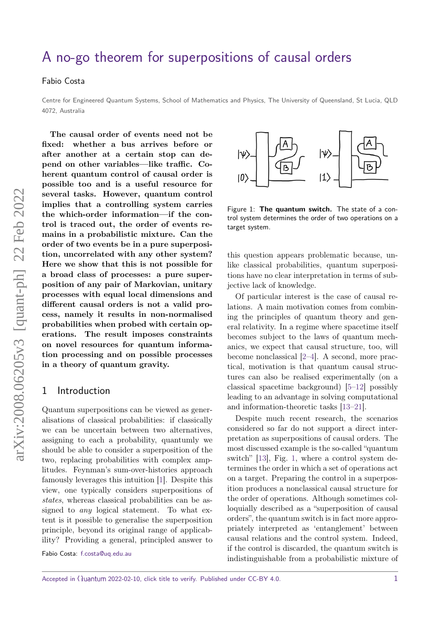# [A no-go theorem for superpositions of causal orders](https://quantum-journal.org/?s=A%20no-go%20theorem%20for%20superpositions%20of%20causal%20orders&reason=title-click)

#### Fabio Costa

Centre for Engineered Quantum Systems, School of Mathematics and Physics, The University of Queensland, St Lucia, QLD 4072, Australia

**The causal order of events need not be fixed: whether a bus arrives before or after another at a certain stop can depend on other variables—like traffic. Coherent quantum control of causal order is possible too and is a useful resource for several tasks. However, quantum control implies that a controlling system carries the which-order information—if the control is traced out, the order of events remains in a probabilistic mixture. Can the order of two events be in a pure superposition, uncorrelated with any other system? Here we show that this is not possible for a broad class of processes: a pure superposition of any pair of Markovian, unitary processes with equal local dimensions and different causal orders is not a valid process, namely it results in non-normalised probabilities when probed with certain operations. The result imposes constraints on novel resources for quantum information processing and on possible processes in a theory of quantum gravity.**

#### 1 Introduction

Quantum superpositions can be viewed as generalisations of classical probabilities: if classically we can be uncertain between two alternatives, assigning to each a probability, quantumly we should be able to consider a superposition of the two, replacing probabilities with complex amplitudes. Feynman's sum-over-histories approach famously leverages this intuition [\[1\]](#page-5-0). Despite this view, one typically considers superpositions of states, whereas classical probabilities can be assigned to any logical statement. To what extent is it possible to generalise the superposition principle, beyond its original range of applicability? Providing a general, principled answer to

Fabio Costa: [f.costa@uq.edu.au](mailto:f.costa@uq.edu.au)

<span id="page-0-0"></span>

Figure 1: **The quantum switch.** The state of a control system determines the order of two operations on a target system.

this question appears problematic because, unlike classical probabilities, quantum superpositions have no clear interpretation in terms of subjective lack of knowledge.

Of particular interest is the case of causal relations. A main motivation comes from combining the principles of quantum theory and general relativity. In a regime where spacetime itself becomes subject to the laws of quantum mechanics, we expect that causal structure, too, will become nonclassical [\[2–](#page-5-1)[4\]](#page-5-2). A second, more practical, motivation is that quantum causal structures can also be realised experimentally (on a classical spacetime background) [\[5–](#page-5-3)[12\]](#page-6-0) possibly leading to an advantage in solving computational and information-theoretic tasks [\[13](#page-6-1)[–21\]](#page-6-2).

Despite much recent research, the scenarios considered so far do not support a direct interpretation as superpositions of causal orders. The most discussed example is the so-called "quantum switch" [\[13\]](#page-6-1), Fig. [1,](#page-0-0) where a control system determines the order in which a set of operations act on a target. Preparing the control in a superposition produces a nonclassical causal structure for the order of operations. Although sometimes colloquially described as a "superposition of causal orders", the quantum switch is in fact more appropriately interpreted as 'entanglement' between causal relations and the control system. Indeed, if the control is discarded, the quantum switch is indistinguishable from a probabilistic mixture of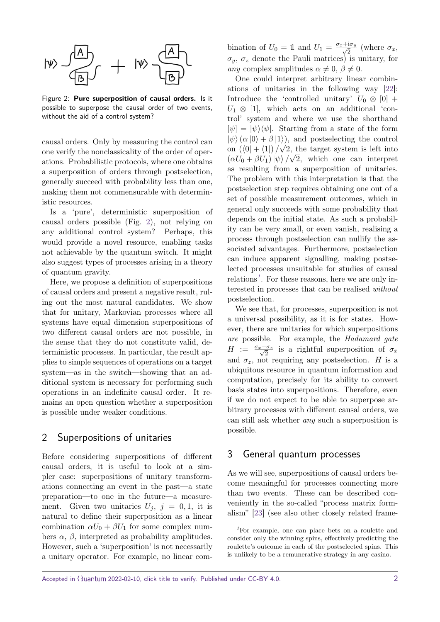<span id="page-1-0"></span>

Figure 2: **Pure superposition of causal orders.** Is it possible to superpose the causal order of two events, without the aid of a control system?

causal orders. Only by measuring the control can one verify the nonclassicality of the order of operations. Probabilistic protocols, where one obtains a superposition of orders through postselection, generally succeed with probability less than one, making them not commensurable with deterministic resources.

Is a 'pure', deterministic superposition of causal orders possible (Fig. [2\)](#page-1-0), not relying on any additional control system? Perhaps, this would provide a novel resource, enabling tasks not achievable by the quantum switch. It might also suggest types of processes arising in a theory of quantum gravity.

Here, we propose a definition of superpositions of causal orders and present a negative result, ruling out the most natural candidates. We show that for unitary, Markovian processes where all systems have equal dimension superpositions of two different causal orders are not possible, in the sense that they do not constitute valid, deterministic processes. In particular, the result applies to simple sequences of operations on a target system—as in the switch—showing that an additional system is necessary for performing such operations in an indefinite causal order. It remains an open question whether a superposition is possible under weaker conditions.

## 2 Superpositions of unitaries

Before considering superpositions of different causal orders, it is useful to look at a simpler case: superpositions of unitary transformations connecting an event in the past—a state preparation—to one in the future—a measurement. Given two unitaries  $U_j$ ,  $j = 0, 1$ , it is natural to define their superposition as a linear combination  $\alpha U_0 + \beta U_1$  for some complex numbers  $\alpha$ ,  $\beta$ , interpreted as probability amplitudes. However, such a 'superposition' is not necessarily a unitary operator. For example, no linear combination of  $U_0 = 1$  and  $U_1 = \frac{\sigma_x + i\sigma_y}{\sqrt{2}}$  $\frac{\partial^2 u}{\partial x^2}$  (where  $\sigma_x$ , *σy*, *σ<sup>z</sup>* denote the Pauli matrices) is unitary, for any complex amplitudes  $\alpha \neq 0, \beta \neq 0$ .

One could interpret arbitrary linear combinations of unitaries in the following way [\[22\]](#page-6-3): Introduce the 'controlled unitary'  $U_0 \otimes [0]$  +  $U_1 \otimes [1]$ , which acts on an additional 'control' system and where we use the shorthand  $[\psi] = [\psi \rangle \langle \psi]$ . Starting from a state of the form  $|\psi\rangle(\alpha|0\rangle + \beta|1\rangle)$ , and postselecting the control on  $(\langle 0| + \langle 1|)/\sqrt{2}$ , the target system is left into  $(\alpha U_0 + \beta U_1) |\psi\rangle / \sqrt{2}$ , which one can interpret as resulting from a superposition of unitaries. The problem with this interpretation is that the postselection step requires obtaining one out of a set of possible measurement outcomes, which in general only succeeds with some probability that depends on the initial state. As such a probability can be very small, or even vanish, realising a process through postselection can nullify the associated advantages. Furthermore, postselection can induce apparent signalling, making postselected processes unsuitable for studies of causal relations*[1](#page-1-1)* . For these reasons, here we are only interested in processes that can be realised without postselection.

We see that, for processes, superposition is not a universal possibility, as it is for states. However, there are unitaries for which superpositions are possible. For example, the Hadamard gate  $H := \frac{\sigma_x + \sigma_z}{\sqrt{2}}$  $\frac{\sigma_z}{2}$  is a rightful superposition of  $\sigma_x$ and  $\sigma_z$ , not requiring any postselection. *H* is a ubiquitous resource in quantum information and computation, precisely for its ability to convert basis states into superpositions. Therefore, even if we do not expect to be able to superpose arbitrary processes with different causal orders, we can still ask whether any such a superposition is possible.

#### <span id="page-1-2"></span>3 General quantum processes

As we will see, superpositions of causal orders become meaningful for processes connecting more than two events. These can be described conveniently in the so-called "process matrix formalism" [\[23\]](#page-6-4) (see also other closely related frame-

<span id="page-1-1"></span>*<sup>1</sup>*For example, one can place bets on a roulette and consider only the winning spins, effectively predicting the roulette's outcome in each of the postselected spins. This is unlikely to be a remunerative strategy in any casino.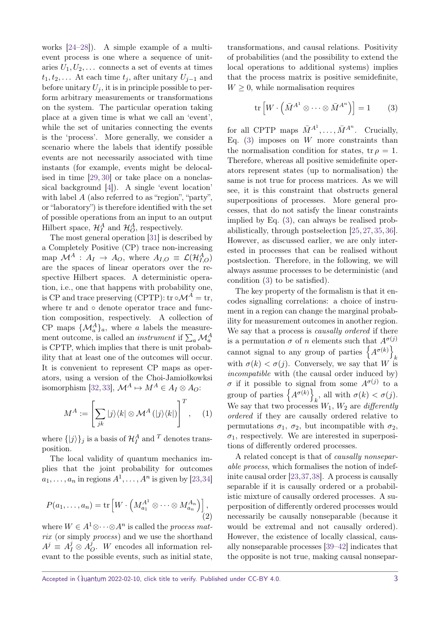works [\[24–](#page-6-5)[28\]](#page-6-6)). A simple example of a multievent process is one where a sequence of unitaries  $U_1, U_2, \ldots$  connects a set of events at times  $t_1, t_2, \ldots$  At each time  $t_j$ , after unitary  $U_{j-1}$  and before unitary  $U_j$ , it is in principle possible to perform arbitrary measurements or transformations on the system. The particular operation taking place at a given time is what we call an 'event', while the set of unitaries connecting the events is the 'process'. More generally, we consider a scenario where the labels that identify possible events are not necessarily associated with time instants (for example, events might be delocalised in time [\[29,](#page-6-7) [30\]](#page-6-8) or take place on a nonclassical background [\[4\]](#page-5-2)). A single 'event location' with label *A* (also referred to as "region", "party", or "laboratory") is therefore identified with the set of possible operations from an input to an output Hilbert space,  $\mathcal{H}_I^A$  and  $\mathcal{H}_O^A$ , respectively.

The most general operation [\[31\]](#page-7-0) is described by a Completely Positive (CP) trace non-increasing map  $\mathcal{M}^A$  :  $A_I \rightarrow A_O$ , where  $A_{I,O} \equiv \mathcal{L}(\mathcal{H}_{I,O}^A)$ are the spaces of linear operators over the respective Hilbert spaces. A deterministic operation, i.e., one that happens with probability one, is CP and trace preserving (CPTP): tr  $\circ \mathcal{M}^A = \text{tr}$ , where tr and ∘ denote operator trace and function composition, respectively. A collection of CP maps  $\{\mathcal{M}_a^A\}_a$ , where *a* labels the measurement outcome, is called an *instrument* if  $\sum_a \mathcal{M}_a^A$ is CPTP, which implies that there is unit probability that at least one of the outcomes will occur. It is convenient to represent CP maps as operators, using a version of the Choi-Jamiołkowksi isomorphism [\[32,](#page-7-1) [33\]](#page-7-2),  $\mathcal{M}^A \mapsto M^A \in A_I \otimes A_O$ :

$$
M^{A} := \left[\sum_{jk} |j\rangle\langle k| \otimes \mathcal{M}^{A}(|j\rangle\langle k|)\right]^{T}, \quad (1)
$$

where  $\{|j\rangle\}_j$  is a basis of  $\mathcal{H}^A_I$  and <sup>*T*</sup> denotes transposition.

The local validity of quantum mechanics implies that the joint probability for outcomes  $a_1, \ldots, a_n$  in regions  $A^1, \ldots, A^n$  is given by [\[23,](#page-6-4)[34\]](#page-7-3)

$$
P(a_1, \ldots, a_n) = \text{tr}\left[W \cdot \left(M_{a_1}^{A^1} \otimes \cdots \otimes M_{a_n}^{A_n}\right)\right],\tag{2}
$$

where  $W \in A^1 \otimes \cdots \otimes A^n$  is called the *process mat*rix (or simply *process*) and we use the shorthand  $A^j \equiv A^j_I \otimes A^j_C$ *O* . *W* encodes all information relevant to the possible events, such as initial state, transformations, and causal relations. Positivity of probabilities (and the possibility to extend the local operations to additional systems) implies that the process matrix is positive semidefinite,  $W > 0$ , while normalisation requires

<span id="page-2-0"></span>
$$
\operatorname{tr}\left[W \cdot \left(\bar{M}^{A^1} \otimes \cdots \otimes \bar{M}^{A^n}\right)\right] = 1 \qquad (3)
$$

for all CPTP maps  $\bar{M}^{A^1}, \ldots, \bar{M}^{A^n}$ . Crucially, Eq. [\(3\)](#page-2-0) imposes on *W* more constraints than the normalisation condition for states, tr  $\rho = 1$ . Therefore, whereas all positive semidefinite operators represent states (up to normalisation) the same is not true for process matrices. As we will see, it is this constraint that obstructs general superpositions of processes. More general processes, that do not satisfy the linear constraints implied by Eq. [\(3\)](#page-2-0), can always be realised probabilistically, through postselection [\[25,](#page-6-9) [27,](#page-6-10) [35,](#page-7-4) [36\]](#page-7-5). However, as discussed earlier, we are only interested in processes that can be realised without postslection. Therefore, in the following, we will always assume processes to be deterministic (and condition [\(3\)](#page-2-0) to be satisfied).

The key property of the formalism is that it encodes signalling correlations: a choice of instrument in a region can change the marginal probability for measurement outcomes in another region. We say that a process is *causally ordered* if there is a permutation  $\sigma$  of *n* elements such that  $A^{\sigma(j)}$ cannot signal to any group of parties  $\{A^{\sigma(k)}\}$ *k* with  $\sigma(k) < \sigma(j)$ . Conversely, we say that *W* is incompatible with (the causal order induced by) *σ* if it possible to signal from some  $A^{\sigma(j)}$  to a group of parties  $\{A^{\sigma(k)}\}$ *k*, all with  $\sigma(k) < \sigma(j)$ . We say that two processes  $W_1$ ,  $W_2$  are *differently* ordered if they are causally ordered relative to permutations  $\sigma_1$ ,  $\sigma_2$ , but incompatible with  $\sigma_2$ ,  $\sigma_1$ , respectively. We are interested in superpositions of differently ordered processes.

<span id="page-2-1"></span>A related concept is that of causally nonseparable process, which formalises the notion of indefinite causal order [\[23,](#page-6-4)[37,](#page-7-6)[38\]](#page-7-7). A process is causally separable if it is causally ordered or a probabilistic mixture of causally ordered processes. A superposition of differently ordered processes would necessarily be causally nonseparable (because it would be extremal and not causally ordered). However, the existence of locally classical, causally nonseparable processes [\[39](#page-7-8)[–42\]](#page-7-9) indicates that the opposite is not true, making causal nonsepar-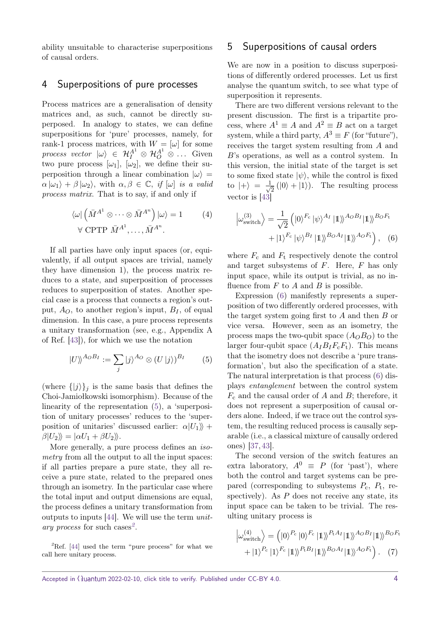ability unsuitable to characterise superpositions of causal orders.

### 4 Superpositions of pure processes

Process matrices are a generalisation of density matrices and, as such, cannot be directly superposed. In analogy to states, we can define superpositions for 'pure' processes, namely, for rank-1 process matrices, with  $W = [\omega]$  for some process vector  $|\omega\rangle \in \mathcal{H}_I^{A^1} \otimes \mathcal{H}_O^{A^1} \otimes \ldots$  Given two pure process  $[\omega_1]$ ,  $[\omega_2]$ , we define their superposition through a linear combination  $|\omega\rangle$  =  $\alpha |\omega_1\rangle + \beta |\omega_2\rangle$ , with  $\alpha, \beta \in \mathbb{C}$ , if  $[\omega]$  is a valid process matrix. That is to say, if and only if

$$
\langle \omega | \left( \bar{M}^{A^1} \otimes \cdots \otimes \bar{M}^{A^n} \right) | \omega \rangle = 1 \qquad (4)
$$
  
 
$$
\forall \text{ CPTP } \bar{M}^{A^1}, \dots, \bar{M}^{A^n}.
$$

If all parties have only input spaces (or, equivalently, if all output spaces are trivial, namely they have dimension 1), the process matrix reduces to a state, and superposition of processes reduces to superposition of states. Another special case is a process that connects a region's output,  $A_O$ , to another region's input,  $B_I$ , of equal dimension. In this case, a pure process represents a unitary transformation (see, e.g., Appendix A of Ref. [\[43\]](#page-7-10)), for which we use the notation

$$
|U\rangle^{A_OB_I} := \sum_j |j\rangle^{A_O} \otimes (U|j\rangle)^{B_I} \qquad (5)
$$

(where  $\{|j\rangle\}_i$  is the same basis that defines the Choi-Jamiołkowski isomorphism). Because of the linearity of the representation [\(5\)](#page-3-0), a 'superposition of unitary processes' reduces to the 'superposition of unitaries' discussed earlier:  $\alpha |U_1\rangle +$  $\beta|U_2\rangle = |\alpha U_1 + \beta U_2\rangle.$ 

More generally, a pure process defines an isometry from all the output to all the input spaces: if all parties prepare a pure state, they all receive a pure state, related to the prepared ones through an isometry. In the particular case where the total input and output dimensions are equal, the process defines a unitary transformation from outputs to inputs [\[44\]](#page-7-11). We will use the term unitary process for such cases*[2](#page-3-1)* .

## 5 Superpositions of causal orders

We are now in a position to discuss superpositions of differently ordered processes. Let us first analyse the quantum switch, to see what type of superposition it represents.

There are two different versions relevant to the present discussion. The first is a tripartite process, where  $A^1 \equiv A$  and  $A^2 \equiv B$  act on a target system, while a third party,  $A^3 \equiv F$  (for "future"), receives the target system resulting from *A* and *B*'s operations, as well as a control system. In this version, the initial state of the target is set to some fixed state  $|\psi\rangle$ , while the control is fixed to  $|+\rangle = \frac{1}{\sqrt{2}}$  $\frac{1}{2}$  (|0\intimes). The resulting process vector is [\[43\]](#page-7-10)

<span id="page-3-4"></span><span id="page-3-2"></span>
$$
\left| \omega_{\text{switch}}^{(3)} \right\rangle = \frac{1}{\sqrt{2}} \left( |0\rangle^{F_c} | \psi \rangle^{A_I} | 1 \rangle^{A_O B_I} | 1 \rangle^{B_O F_t} + |1\rangle^{F_c} | \psi \rangle^{B_I} | 1 \rangle^{B_O A_I} | 1 \rangle^{A_O F_t} \right), \quad (6)
$$

where  $F_c$  and  $F_t$  respectively denote the control and target subsystems of *F*. Here, *F* has only input space, while its output is trivial, as no influence from *F* to *A* and *B* is possible.

<span id="page-3-0"></span>Expression [\(6\)](#page-3-2) manifestly represents a superposition of two differently ordered processes, with the target system going first to *A* and then *B* or vice versa. However, seen as an isometry, the process maps the two-qubit space  $(A<sub>O</sub>B<sub>O</sub>)$  to the larger four-qubit space  $(A_I B_I F_c F_t)$ . This means that the isometry does not describe a 'pure transformation', but also the specification of a state. The natural interpretation is that process [\(6\)](#page-3-2) displays entanglement between the control system *F*<sup>c</sup> and the causal order of *A* and *B*; therefore, it does not represent a superposition of causal orders alone. Indeed, if we trace out the control system, the resulting reduced process is causally separable (i.e., a classical mixture of causally ordered ones) [\[37,](#page-7-6) [43\]](#page-7-10).

The second version of the switch features an extra laboratory,  $A^0 \equiv P$  (for 'past'), where both the control and target systems can be prepared (corresponding to subsystems *P*c, *P*t, respectively). As *P* does not receive any state, its input space can be taken to be trivial. The resulting unitary process is

<span id="page-3-3"></span>
$$
\left| \omega_{\text{switch}}^{(4)} \right\rangle = \left( |0\rangle^{P_c} |0\rangle^{F_c} |1\rangle \right\rangle^{P_t A_I} |1\rangle \right\rangle^{A_O B_I} |1\rangle \right\rangle^{B_O F_t} + |1\rangle^{P_c} |1\rangle \right\rangle^{F_c} |1\rangle \right\rangle^{P_t B_I} |1\rangle \right\rangle^{B_O A_I} |1\rangle \rangle^{A_O F_t} \quad (7)
$$

<span id="page-3-1"></span><sup>&</sup>lt;sup>2</sup>Ref. [\[44\]](#page-7-11) used the term "pure process" for what we call here unitary process.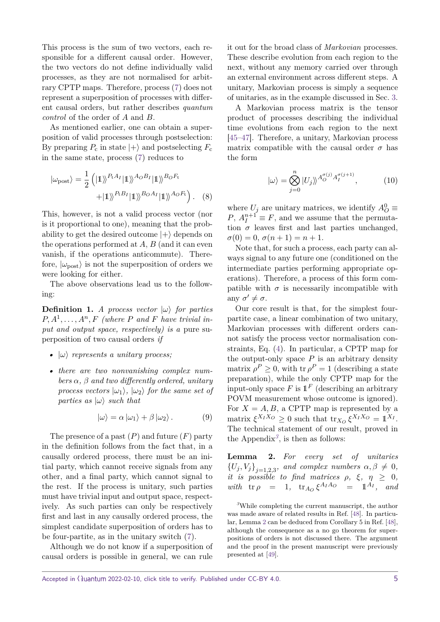This process is the sum of two vectors, each responsible for a different causal order. However, the two vectors do not define individually valid processes, as they are not normalised for arbitrary CPTP maps. Therefore, process [\(7\)](#page-3-3) does not represent a superposition of processes with different causal orders, but rather describes quantum control of the order of *A* and *B*.

As mentioned earlier, one can obtain a superposition of valid processes through postselection: By preparing  $P_c$  in state  $|+\rangle$  and postselecting  $F_c$ in the same state, process [\(7\)](#page-3-3) reduces to

$$
|\omega_{\text{post}}\rangle = \frac{1}{2} (|\mathbb{1}\rangle)^{P_t A_I} |\mathbb{1}\rangle^{A_O B_I} |\mathbb{1}\rangle^{B_O F_t} + |\mathbb{1}\rangle^{P_t B_I} |\mathbb{1}\rangle^{B_O A_I} |\mathbb{1}\rangle^{A_O F_t}).
$$
 (8)

This, however, is not a valid process vector (nor is it proportional to one), meaning that the probability to get the desired outcome  $|+\rangle$  depends on the operations performed at *A*, *B* (and it can even vanish, if the operations anticommute). Therefore,  $|\omega_{\text{post}}\rangle$  is not the superposition of orders we were looking for either.

The above observations lead us to the following:

**Definition 1.** *A process vector*  $|\omega\rangle$  *for parties*  $P, A^1, \ldots, A^n, F$  (where  $P$  and  $F$  have trivial in*put and output space, respectively) is a* pure superposition of two causal orders *if*

- *•* |*ω*i *represents a unitary process;*
- *• there are two nonvanishing complex numbers α, β and two differently ordered, unitary process vectors*  $|\omega_1\rangle$ ,  $|\omega_2\rangle$  *for the same set of parties as*  $|\omega\rangle$  *such that*

<span id="page-4-2"></span>
$$
|\omega\rangle = \alpha |\omega_1\rangle + \beta |\omega_2\rangle.
$$
 (9)

The presence of a past  $(P)$  and future  $(F)$  party in the definition follows from the fact that, in a causally ordered process, there must be an initial party, which cannot receive signals from any other, and a final party, which cannot signal to the rest. If the process is unitary, such parties must have trivial input and output space, respectively. As such parties can only be respectively first and last in any causally ordered process, the simplest candidate superposition of orders has to be four-partite, as in the unitary switch [\(7\)](#page-3-3).

Although we do not know if a superposition of causal orders is possible in general, we can rule it out for the broad class of Markovian processes. These describe evolution from each region to the next, without any memory carried over through an external environment across different steps. A unitary, Markovian process is simply a sequence of unitaries, as in the example discussed in Sec. [3.](#page-1-2)

A Markovian process matrix is the tensor product of processes describing the individual time evolutions from each region to the next [\[45](#page-7-12)[–47\]](#page-7-13). Therefore, a unitary, Markovian process matrix compatible with the causal order  $\sigma$  has the form

$$
|\omega\rangle = \bigotimes_{j=0}^{n} |U_j\rangle\!\rangle^{A_O^{\sigma(j)} A_I^{\sigma(j+1)}}, \tag{10}
$$

where  $U_j$  are unitary matrices, we identify  $A_O^0 \equiv$  $P, A_I^{n+1} \equiv F$ , and we assume that the permutation  $\sigma$  leaves first and last parties unchanged.  $\sigma(0) = 0, \, \sigma(n+1) = n+1.$ 

Note that, for such a process, each party can always signal to any future one (conditioned on the intermediate parties performing appropriate operations). Therefore, a process of this form compatible with  $\sigma$  is necessarily incompatible with any  $\sigma' \neq \sigma$ .

Our core result is that, for the simplest fourpartite case, a linear combination of two unitary, Markovian processes with different orders cannot satisfy the process vector normalisation constraints, Eq. [\(4\)](#page-3-4). In particular, a CPTP map for the output-only space  $P$  is an arbitrary density matrix  $\rho^P \geq 0$ , with tr  $\rho^P = 1$  (describing a state preparation), while the only CPTP map for the input-only space  $F$  is  $\mathbb{1}^F$  (describing an arbitrary POVM measurement whose outcome is ignored). For  $X = A, B$ , a CPTP map is represented by a matrix  $\xi^{X_I X_O} \geq 0$  such that  $\text{tr}_{X_O} \xi^{X_I X_O} = \mathbb{1}^{X_I}$ . The technical statement of our result, proved in the Appendix<sup>[3](#page-4-0)</sup>, is then as follows:

<span id="page-4-1"></span>**Lemma 2.** *For every set of unitaries*  $\{U_j, V_j\}_{j=1,2,3}$ , and complex numbers  $\alpha, \beta \neq 0$ , *it is possible to find matrices*  $\rho$ ,  $\xi$ ,  $\eta \geq 0$ ,  $with \text{ tr } \rho = 1, \text{ tr}_{A_O} \xi^{A_I A_O} = \mathbb{1}^{A_I}, \text{ and}$ 

<span id="page-4-0"></span>*<sup>3</sup>*While completing the current manuscript, the author was made aware of related results in Ref. [\[48\]](#page-7-14). In particular, Lemma [2](#page-4-1) can be deduced from Corollary 5 in Ref. [\[48\]](#page-7-14), although the consequence as a no go theorem for superpositions of orders is not discussed there. The argument and the proof in the present manuscript were previously presented at [\[49\]](#page-7-15).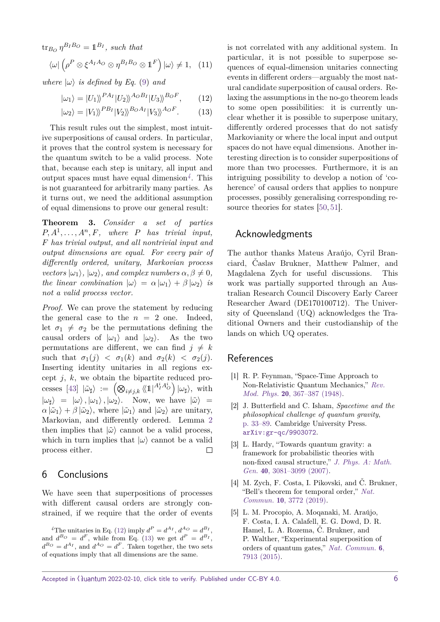$\text{tr}_{B_O} \eta^{B_I B_O} = \mathbb{1}^{B_I}$ , such that

$$
\langle \omega | \left( \rho^P \otimes \xi^{A_I A_O} \otimes \eta^{B_I B_O} \otimes \mathbb{1}^F \right) | \omega \rangle \neq 1, \quad (11)
$$

*where*  $|\omega\rangle$  *is defined by Eq.* [\(9\)](#page-4-2) *and* 

$$
|\omega_1\rangle = |U_1\rangle \rangle^{PA_I} |U_2\rangle \rangle^{A_OB_I} |U_3\rangle \rangle^{B_OF}, \quad (12)
$$

$$
|\omega_2\rangle = |V_1\rangle \rangle^{PB_I} |V_2\rangle \rangle^{BoA_I} |V_3\rangle \rangle^{AoF}.
$$
 (13)

This result rules out the simplest, most intuitive superpositions of causal orders. In particular, it proves that the control system is necessary for the quantum switch to be a valid process. Note that, because each step is unitary, all input and output spaces must have equal dimension*[4](#page-5-4)* . This is not guaranteed for arbitrarily many parties. As it turns out, we need the additional assumption of equal dimensions to prove our general result:

**Theorem 3.** *Consider a set of parties*  $P, A^1, \ldots, A^n, F$ , where *P* has trivial input, *F has trivial output, and all nontrivial input and output dimensions are equal. For every pair of differently ordered, unitary, Markovian process*  $\langle \psi \psi \rangle$ *,*  $|\omega_1\rangle$ *,*  $|\omega_2\rangle$ *, and complex numbers*  $\alpha, \beta \neq 0$ *, the linear combination*  $|\omega\rangle = \alpha |\omega_1\rangle + \beta |\omega_2\rangle$  *is not a valid process vector.*

*Proof.* We can prove the statement by reducing the general case to the  $n = 2$  one. Indeed, let  $\sigma_1 \neq \sigma_2$  be the permutations defining the causal orders of  $|\omega_1\rangle$  and  $|\omega_2\rangle$ . As the two permutations are different, we can find  $j \neq k$ such that  $\sigma_1(j) < \sigma_1(k)$  and  $\sigma_2(k) < \sigma_2(j)$ . Inserting identity unitaries in all regions except *j*, *k*, we obtain the bipartite reduced pro- $\cos \left[ 43 \right] \, |\tilde{\omega}_{\sharp} \rangle := \left( \bigotimes_{i \neq j,k} \langle \langle 1 |^{A_I^i A_O^i} \rangle |\omega_{\sharp} \rangle, \text{ with } \right)$  $|\omega_{\sharp}\rangle = |\omega\rangle, |\omega_1\rangle, |\omega_2\rangle$ . Now, we have  $|\tilde{\omega}\rangle =$  $\alpha |\tilde{\omega}_1\rangle + \beta |\tilde{\omega}_2\rangle$ , where  $|\tilde{\omega}_1\rangle$  and  $|\tilde{\omega}_2\rangle$  are unitary, Markovian, and differently ordered. Lemma [2](#page-4-1) then implies that  $|\tilde{\omega}\rangle$  cannot be a valid process, which in turn implies that  $|\omega\rangle$  cannot be a valid process either.  $\Box$ 

## 6 Conclusions

We have seen that superpositions of processes with different causal orders are strongly constrained, if we require that the order of events

<span id="page-5-4"></span><sup>4</sup>The unitaries in Eq. [\(12\)](#page-5-5) imply  $d^P = d^{A_I}$ ,  $d^{A_O} = d^{B_I}$ , and  $d^{B_O} = d^F$ , while from Eq. [\(13\)](#page-5-6) we get  $d^P = d^{B_I}$ ,  $d^{B_O} = d^{A_I}$ , and  $d^{A_O} = d^F$ . Taken together, the two sets of equations imply that all dimensions are the same.

<span id="page-5-6"></span><span id="page-5-5"></span>is not correlated with any additional system. In particular, it is not possible to superpose sequences of equal-dimension unitaries connecting events in different orders—arguably the most natural candidate superposition of causal orders. Relaxing the assumptions in the no-go theorem leads to some open possibilities: it is currently unclear whether it is possible to superpose unitary, differently ordered processes that do not satisfy Markovianity or where the local input and output spaces do not have equal dimensions. Another interesting direction is to consider superpositions of more than two processes. Furthermore, it is an intriguing possibility to develop a notion of 'coherence' of causal orders that applies to nonpure processes, possibly generalising corresponding resource theories for states [\[50,](#page-7-16) [51\]](#page-7-17).

## Acknowledgments

The author thanks Mateus Araújo, Cyril Branciard, Časlav Brukner, Matthew Palmer, and Magdalena Zych for useful discussions. This work was partially supported through an Australian Research Council Discovery Early Career Researcher Award (DE170100712). The University of Queensland (UQ) acknowledges the Traditional Owners and their custodianship of the lands on which UQ operates.

## References

- <span id="page-5-0"></span>[1] R. P. Feynman, "Space-Time Approach to Non-Relativistic Quantum Mechanics," [Rev.](http://dx.doi.org/10.1103/RevModPhys.20.367) Mod. Phys. 20[, 367–387 \(1948\).](http://dx.doi.org/10.1103/RevModPhys.20.367)
- <span id="page-5-1"></span>[2] J. Butterfield and C. Isham, Spacetime and the philosophical challenge of quantum gravity, [p. 33–89.](http://dx.doi.org/10.1017/CBO9780511612909.003) Cambridge University Press. [arXiv:gr-qc/9903072](http://arxiv.org/abs/arXiv:gr-qc/9903072).
- [3] L. Hardy, "Towards quantum gravity: a framework for probabilistic theories with non-fixed causal structure," [J. Phys. A: Math.](http://dx.doi.org/10.1088/1751-8113/40/12/S12) Gen. 40[, 3081–3099 \(2007\).](http://dx.doi.org/10.1088/1751-8113/40/12/S12)
- <span id="page-5-2"></span>[4] M. Zych, F. Costa, I. Pikovski, and Č. Brukner, "Bell's theorem for temporal order," [Nat.](http://dx.doi.org/10.1038/s41467-019-11579-x) Commun. 10[, 3772 \(2019\).](http://dx.doi.org/10.1038/s41467-019-11579-x)
- <span id="page-5-3"></span>[5] L. M. Procopio, A. Moqanaki, M. Araújo, F. Costa, I. A. Calafell, E. G. Dowd, D. R. Hamel, L. A. Rozema, Č. Brukner, and P. Walther, "Experimental superposition of orders of quantum gates," [Nat. Commun.](http://dx.doi.org/10.1038/ncomms8913) 6, [7913 \(2015\).](http://dx.doi.org/10.1038/ncomms8913)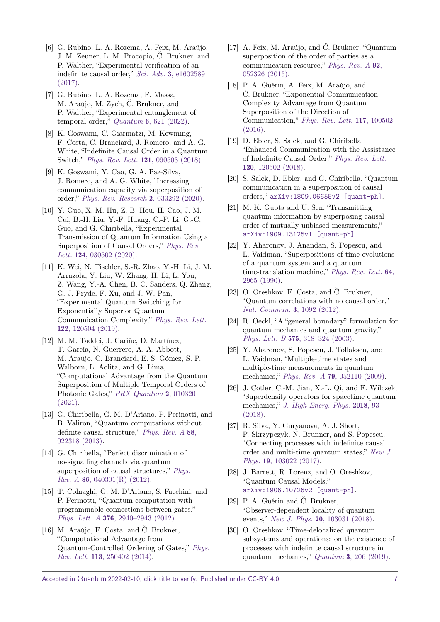- [6] G. Rubino, L. A. Rozema, A. Feix, M. Araújo, J. M. Zeuner, L. M. Procopio, Č. Brukner, and P. Walther, "Experimental verification of an indefinite causal order," Sci. Adv. 3[, e1602589](http://dx.doi.org/10.1126/sciadv.1602589) [\(2017\).](http://dx.doi.org/10.1126/sciadv.1602589)
- [7] G. Rubino, L. A. Rozema, F. Massa, M. Araújo, M. Zych, Č. Brukner, and P. Walther, "Experimental entanglement of temporal order,"  $Quantum 6, 621 (2022)$ .
- [8] K. Goswami, C. Giarmatzi, M. Kewming, F. Costa, C. Branciard, J. Romero, and A. G. White, "Indefinite Causal Order in a Quantum Switch," [Phys. Rev. Lett.](http://dx.doi.org/10.1103/PhysRevLett.121.090503) 121, 090503 (2018).
- [9] K. Goswami, Y. Cao, G. A. Paz-Silva, J. Romero, and A. G. White, "Increasing communication capacity via superposition of order," [Phys. Rev. Research](http://dx.doi.org/10.1103/PhysRevResearch.2.033292) 2, 033292 (2020).
- [10] Y. Guo, X.-M. Hu, Z.-B. Hou, H. Cao, J.-M. Cui, B.-H. Liu, Y.-F. Huang, C.-F. Li, G.-C. Guo, and G. Chiribella, "Experimental Transmission of Quantum Information Using a Superposition of Causal Orders," [Phys. Rev.](http://dx.doi.org/10.1103/PhysRevLett.124.030502) Lett. **124**[, 030502 \(2020\).](http://dx.doi.org/10.1103/PhysRevLett.124.030502)
- [11] K. Wei, N. Tischler, S.-R. Zhao, Y.-H. Li, J. M. Arrazola, Y. Liu, W. Zhang, H. Li, L. You, Z. Wang, Y.-A. Chen, B. C. Sanders, Q. Zhang, G. J. Pryde, F. Xu, and J.-W. Pan, "Experimental Quantum Switching for Exponentially Superior Quantum Communication Complexity," [Phys. Rev. Lett.](http://dx.doi.org/10.1103/PhysRevLett.122.120504) 122[, 120504 \(2019\).](http://dx.doi.org/10.1103/PhysRevLett.122.120504)
- <span id="page-6-0"></span>[12] M. M. Taddei, J. Cariñe, D. Martínez, T. García, N. Guerrero, A. A. Abbott, M. Araújo, C. Branciard, E. S. Gómez, S. P. Walborn, L. Aolita, and G. Lima, "Computational Advantage from the Quantum Superposition of Multiple Temporal Orders of Photonic Gates," [PRX Quantum](http://dx.doi.org/10.1103/PRXQuantum.2.010320) 2, 010320 [\(2021\).](http://dx.doi.org/10.1103/PRXQuantum.2.010320)
- <span id="page-6-1"></span>[13] G. Chiribella, G. M. D'Ariano, P. Perinotti, and B. Valiron, "Quantum computations without definite causal structure," [Phys. Rev. A](http://dx.doi.org/10.1103/PhysRevA.88.022318) 88, [022318 \(2013\).](http://dx.doi.org/10.1103/PhysRevA.88.022318)
- [14] G. Chiribella, "Perfect discrimination of no-signalling channels via quantum superposition of causal structures," *[Phys.](http://dx.doi.org/10.1103/PhysRevA.86.040301)* Rev. A 86[, 040301\(R\) \(2012\).](http://dx.doi.org/10.1103/PhysRevA.86.040301)
- [15] T. Colnaghi, G. M. D'Ariano, S. Facchini, and P. Perinotti, "Quantum computation with programmable connections between gates," Phys. Lett. A 376[, 2940–2943 \(2012\).](http://dx.doi.org/10.1016/j.physleta.2012.08.028)
- [16] M. Araújo, F. Costa, and Č. Brukner, "Computational Advantage from Quantum-Controlled Ordering of Gates," [Phys.](http://dx.doi.org/10.1103/PhysRevLett.113.250402) Rev. Lett. 113[, 250402 \(2014\).](http://dx.doi.org/10.1103/PhysRevLett.113.250402)
- [17] A. Feix, M. Araújo, and Č. Brukner, "Quantum superposition of the order of parties as a communication resource," [Phys. Rev. A](http://dx.doi.org/10.1103/PhysRevA.92.052326) 92, [052326 \(2015\).](http://dx.doi.org/10.1103/PhysRevA.92.052326)
- [18] P. A. Guérin, A. Feix, M. Araújo, and Č. Brukner, "Exponential Communication Complexity Advantage from Quantum Superposition of the Direction of Communication," [Phys. Rev. Lett.](http://dx.doi.org/10.1103/PhysRevLett.117.100502) 117, 100502 [\(2016\).](http://dx.doi.org/10.1103/PhysRevLett.117.100502)
- [19] D. Ebler, S. Salek, and G. Chiribella, "Enhanced Communication with the Assistance of Indefinite Causal Order," [Phys. Rev. Lett.](http://dx.doi.org/10.1103/physrevlett.120.120502) 120[, 120502 \(2018\).](http://dx.doi.org/10.1103/physrevlett.120.120502)
- [20] S. Salek, D. Ebler, and G. Chiribella, "Quantum communication in a superposition of causal orders," [arXiv:1809.06655v2 \[quant-ph\]](http://arxiv.org/abs/1809.06655v2).
- <span id="page-6-2"></span>[21] M. K. Gupta and U. Sen, "Transmitting quantum information by superposing causal order of mutually unbiased measurements," [arXiv:1909.13125v1 \[quant-ph\]](http://arxiv.org/abs/arXiv:1909.13125v1).
- <span id="page-6-3"></span>[22] Y. Aharonov, J. Anandan, S. Popescu, and L. Vaidman, "Superpositions of time evolutions of a quantum system and a quantum time-translation machine," [Phys. Rev. Lett.](http://dx.doi.org/10.1103/PhysRevLett.64.2965) 64. [2965 \(1990\).](http://dx.doi.org/10.1103/PhysRevLett.64.2965)
- <span id="page-6-4"></span>[23] O. Oreshkov, F. Costa, and Č. Brukner, "Quantum correlations with no causal order," [Nat. Commun.](http://dx.doi.org/10.1038/ncomms2076) 3, 1092 (2012).
- <span id="page-6-5"></span>[24] R. Oeckl, "A "general boundary" formulation for quantum mechanics and quantum gravity," Phys. Lett. B 575[, 318–324 \(2003\).](http://dx.doi.org/http://dx.doi.org/10.1016/j.physletb.2003.08.043)
- <span id="page-6-9"></span>[25] Y. Aharonov, S. Popescu, J. Tollaksen, and L. Vaidman, "Multiple-time states and multiple-time measurements in quantum mechanics," Phys. Rev. A 79[, 052110 \(2009\).](http://dx.doi.org/10.1103/PhysRevA.79.052110)
- [26] J. Cotler, C.-M. Jian, X.-L. Qi, and F. Wilczek, "Superdensity operators for spacetime quantum mechanics," [J. High Energ. Phys.](http://dx.doi.org/10.1007/jhep09(2018)093) 2018, 93 [\(2018\).](http://dx.doi.org/10.1007/jhep09(2018)093)
- <span id="page-6-10"></span>[27] R. Silva, Y. Guryanova, A. J. Short, P. Skrzypczyk, N. Brunner, and S. Popescu, "Connecting processes with indefinite causal order and multi-time quantum states," [New J.](http://dx.doi.org/10.1088/1367-2630/aa84fe) Phys. 19[, 103022 \(2017\).](http://dx.doi.org/10.1088/1367-2630/aa84fe)
- <span id="page-6-6"></span>[28] J. Barrett, R. Lorenz, and O. Oreshkov, "Quantum Causal Models," [arXiv:1906.10726v2 \[quant-ph\]](http://arxiv.org/abs/1906.10726v2).
- <span id="page-6-7"></span>[29] P. A. Guérin and Č. Brukner, "Observer-dependent locality of quantum events," New J. Phys. 20[, 103031 \(2018\).](http://dx.doi.org/10.1088/1367-2630/aae742)
- <span id="page-6-8"></span>[30] O. Oreshkov, "Time-delocalized quantum subsystems and operations: on the existence of processes with indefinite causal structure in quantum mechanics," Quantum 3[, 206 \(2019\).](http://dx.doi.org/10.22331/q-2019-12-02-206)

Accepted in  $\langle \lambda$ uantum 2022-02-10, click title to verify. Published under CC-BY 4.0.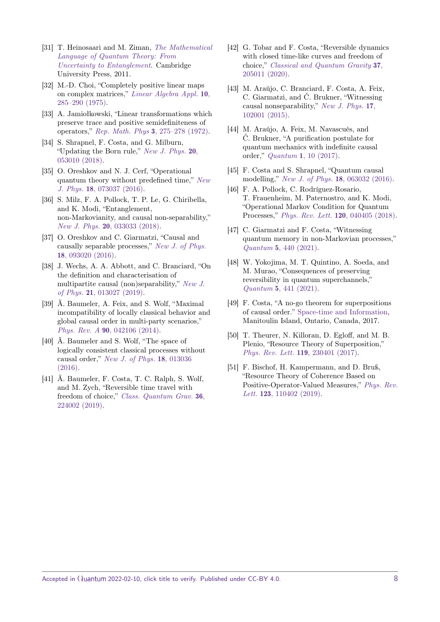- <span id="page-7-0"></span>[31] T. Heinosaari and M. Ziman, [The Mathematical](http://dx.doi.org/10.1017/CBO9781139031103) [Language of Quantum Theory: From](http://dx.doi.org/10.1017/CBO9781139031103) [Uncertainty to Entanglement](http://dx.doi.org/10.1017/CBO9781139031103). Cambridge University Press, 2011.
- <span id="page-7-1"></span>[32] M.-D. Choi, "Completely positive linear maps on complex matrices," [Linear Algebra Appl.](http://dx.doi.org/10.1016/0024-3795(75)90075-0) 10, [285–290 \(1975\).](http://dx.doi.org/10.1016/0024-3795(75)90075-0)
- <span id="page-7-2"></span>[33] A. Jamiołkowski, "Linear transformations which preserve trace and positive semidefiniteness of operators," Rep. Math. Phys 3[, 275–278 \(1972\).](http://dx.doi.org/10.1016/0034-4877(72)90011-0)
- <span id="page-7-3"></span>[34] S. Shrapnel, F. Costa, and G. Milburn, "Updating the Born rule," [New J. Phys.](http://dx.doi.org/10.1088/1367-2630/aabe12)  $20$ , [053010 \(2018\).](http://dx.doi.org/10.1088/1367-2630/aabe12)
- <span id="page-7-4"></span>[35] O. Oreshkov and N. J. Cerf, "Operational quantum theory without predefined time," [New](http://dx.doi.org/10.1088/1367-2630/18/7/073037) J. Phys. 18[, 073037 \(2016\).](http://dx.doi.org/10.1088/1367-2630/18/7/073037)
- <span id="page-7-5"></span>[36] S. Milz, F. A. Pollock, T. P. Le, G. Chiribella, and K. Modi, "Entanglement, non-Markovianity, and causal non-separability," New J. Phys. **20**[, 033033 \(2018\).](http://dx.doi.org/10.1088/1367-2630/aaafee)
- <span id="page-7-6"></span>[37] O. Oreshkov and C. Giarmatzi, "Causal and causally separable processes," [New J. of Phys.](http://dx.doi.org/10.1088/1367-2630/18/9/093020) 18[, 093020 \(2016\).](http://dx.doi.org/10.1088/1367-2630/18/9/093020)
- <span id="page-7-7"></span>[38] J. Wechs, A. A. Abbott, and C. Branciard, "On the definition and characterisation of multipartite causal (non)separability," [New J.](http://dx.doi.org/10.1088/1367-2630/aaf352) of Phys. 21[, 013027 \(2019\).](http://dx.doi.org/10.1088/1367-2630/aaf352)
- <span id="page-7-8"></span>[39] Ä. Baumeler, A. Feix, and S. Wolf, "Maximal incompatibility of locally classical behavior and global causal order in multi-party scenarios," Phys. Rev. A 90[, 042106 \(2014\).](http://dx.doi.org/10.1103/PhysRevA.90.042106)
- [40] Ä. Baumeler and S. Wolf, "The space of logically consistent classical processes without causal order," [New J. of Phys.](http://dx.doi.org/10.1088/1367-2630/18/1/013036) 18, 013036 [\(2016\).](http://dx.doi.org/10.1088/1367-2630/18/1/013036)
- [41] Ä. Baumeler, F. Costa, T. C. Ralph, S. Wolf, and M. Zych, "Reversible time travel with freedom of choice," [Class. Quantum Grav.](http://dx.doi.org/10.1088/1361-6382/ab4973) 36, [224002 \(2019\).](http://dx.doi.org/10.1088/1361-6382/ab4973)
- <span id="page-7-9"></span>[42] G. Tobar and F. Costa, "Reversible dynamics with closed time-like curves and freedom of choice," [Classical and Quantum Gravity](http://dx.doi.org/10.1088/1361-6382/aba4bc) 37, [205011 \(2020\).](http://dx.doi.org/10.1088/1361-6382/aba4bc)
- <span id="page-7-10"></span>[43] M. Araújo, C. Branciard, F. Costa, A. Feix, C. Giarmatzi, and Č. Brukner, "Witnessing causal nonseparability," [New J. Phys.](http://dx.doi.org/10.1088/1367-2630/17/10/102001) 17, [102001 \(2015\).](http://dx.doi.org/10.1088/1367-2630/17/10/102001)
- <span id="page-7-11"></span>[44] M. Araújo, A. Feix, M. Navascués, and Č. Brukner, "A purification postulate for quantum mechanics with indefinite causal order," Quantum 1[, 10 \(2017\).](http://dx.doi.org/10.22331/q-2017-04-26-10)
- <span id="page-7-12"></span>[45] F. Costa and S. Shrapnel, "Quantum causal modelling," [New J. of Phys.](http://dx.doi.org/https://doi.org/10.1088/1367-2630/18/6/063032) 18, 063032 (2016).
- [46] F. A. Pollock, C. Rodríguez-Rosario, T. Frauenheim, M. Paternostro, and K. Modi, "Operational Markov Condition for Quantum Processes," [Phys. Rev. Lett.](http://dx.doi.org/10.1103/physrevlett.120.040405) 120, 040405 (2018).
- <span id="page-7-13"></span>[47] C. Giarmatzi and F. Costa, "Witnessing quantum memory in non-Markovian processes," Quantum 5[, 440 \(2021\).](http://dx.doi.org/10.22331/q-2021-04-26-440)
- <span id="page-7-14"></span>[48] W. Yokojima, M. T. Quintino, A. Soeda, and M. Murao, "Consequences of preserving reversibility in quantum superchannels," Quantum 5[, 441 \(2021\).](http://dx.doi.org/10.22331/q-2021-04-26-441)
- <span id="page-7-15"></span>[49] F. Costa, "A no-go theorem for superpositions of causal order." [Space-time and Information,](https://uwaterloo.ca/spacetime-information-workshop/abstracts) Manitoulin Island, Ontario, Canada, 2017.
- <span id="page-7-16"></span>[50] T. Theurer, N. Killoran, D. Egloff, and M. B. Plenio, "Resource Theory of Superposition," [Phys. Rev. Lett.](http://dx.doi.org/10.1103/PhysRevLett.119.230401) 119, 230401 (2017).
- <span id="page-7-17"></span>[51] F. Bischof, H. Kampermann, and D. Bruß, "Resource Theory of Coherence Based on Positive-Operator-Valued Measures," [Phys. Rev.](http://dx.doi.org/10.1103/PhysRevLett.123.110402) Lett. **123**[, 110402 \(2019\).](http://dx.doi.org/10.1103/PhysRevLett.123.110402)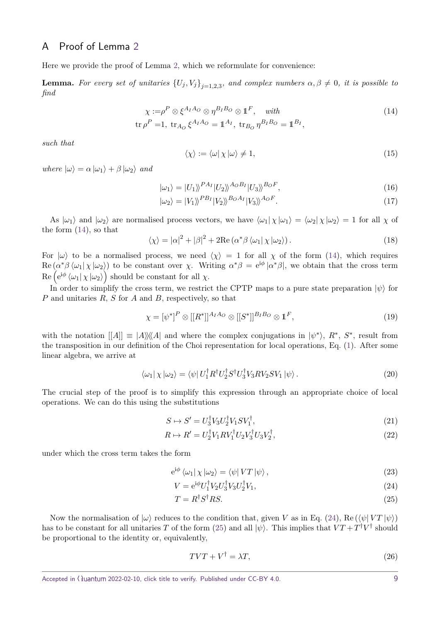## A Proof of Lemma [2](#page-4-1)

Here we provide the proof of Lemma [2,](#page-4-1) which we reformulate for convenience:

**Lemma.** For every set of unitaries  $\{U_j, V_j\}_{j=1,2,3}$ , and complex numbers  $\alpha, \beta \neq 0$ , it is possible to *find*

$$
\chi := \rho^P \otimes \xi^{A_I A_O} \otimes \eta^{B_I B_O} \otimes \mathbb{1}^F, \quad with
$$
  
\n
$$
\text{tr}\,\rho^P = 1, \text{ tr}_{A_O} \xi^{A_I A_O} = \mathbb{1}^{A_I}, \text{ tr}_{B_O} \eta^{B_I B_O} = \mathbb{1}^{B_I},
$$
\n(14)

*such that*

<span id="page-8-0"></span>
$$
\langle \chi \rangle := \langle \omega | \chi | \omega \rangle \neq 1,\tag{15}
$$

 $where \vert \omega \rangle = \alpha \vert \omega_1 \rangle + \beta \vert \omega_2 \rangle$  *and* 

$$
|\omega_1\rangle = |U_1\rangle \, P^{A_I} |U_2\rangle \, A^{AOB_I} |U_3\rangle \, B^{DOF},\tag{16}
$$

$$
|\omega_2\rangle = |V_1\rangle \rangle^{PB_I} |V_2\rangle \rangle^{BoA_I} |V_3\rangle \rangle^{AoF}.
$$
\n(17)

As  $|\omega_1\rangle$  and  $|\omega_2\rangle$  are normalised process vectors, we have  $\langle \omega_1 | \chi |\omega_1 \rangle = \langle \omega_2 | \chi |\omega_2 \rangle = 1$  for all  $\chi$  of the form [\(14\)](#page-8-0), so that

$$
\langle \chi \rangle = |\alpha|^2 + |\beta|^2 + 2\text{Re}\left(\alpha^* \beta \langle \omega_1 | \chi | \omega_2 \rangle\right). \tag{18}
$$

For  $|\omega\rangle$  to be a normalised process, we need  $\langle \chi \rangle = 1$  for all  $\chi$  of the form [\(14\)](#page-8-0), which requires  $\text{Re}(\alpha^*\beta \langle \omega_1|\chi|\omega_2\rangle)$  to be constant over  $\chi$ . Writing  $\alpha^*\beta = e^{i\phi}|\alpha^*\beta|$ , we obtain that the cross term  $\text{Re}\left(e^{\mathrm{i}\phi}\left\langle \omega_{1}\right|\chi\left|\omega_{2}\right\rangle \right)$  should be constant for all  $\chi$ .

In order to simplify the cross term, we restrict the CPTP maps to a pure state preparation  $|\psi\rangle$  for *P* and unitaries *R*, *S* for *A* and *B*, respectively, so that

$$
\chi = [\psi^*]^P \otimes [[R^*]]^{A_I A_O} \otimes [[S^*]]^{B_I B_O} \otimes \mathbb{1}^F,
$$
\n(19)

with the notation  $[[A]] \equiv |A\rangle\rangle\langle\langle A|$  and where the complex conjugations in  $|\psi^*\rangle$ ,  $R^*, S^*$ , result from the transposition in our definition of the Choi representation for local operations, Eq. [\(1\)](#page-2-1). After some linear algebra, we arrive at

$$
\langle \omega_1 | \chi | \omega_2 \rangle = \langle \psi | U_1^{\dagger} R^{\dagger} U_2^{\dagger} S^{\dagger} U_3^{\dagger} V_3 R V_2 S V_1 | \psi \rangle. \tag{20}
$$

The crucial step of the proof is to simplify this expression through an appropriate choice of local operations. We can do this using the substitutions

$$
S \mapsto S' = U_3^{\dagger} V_3 U_2^{\dagger} V_1 S V_1^{\dagger},\tag{21}
$$

$$
R \mapsto R' = U_2^{\dagger} V_1 R V_1^{\dagger} U_2 V_3^{\dagger} U_3 V_2^{\dagger},\tag{22}
$$

under which the cross term takes the form

$$
e^{i\phi} \langle \omega_1 | \chi | \omega_2 \rangle = \langle \psi | VT | \psi \rangle , \qquad (23)
$$

$$
V = e^{i\phi} U_1^\dagger V_2 U_3^\dagger V_3 U_2^\dagger V_1,\tag{24}
$$

$$
T = R^{\dagger} S^{\dagger} R S. \tag{25}
$$

Now the normalisation of  $|\omega\rangle$  reduces to the condition that, given *V* as in Eq. [\(24\)](#page-8-1), Re ( $\langle \psi | V T | \psi \rangle$ ) has to be constant for all unitaries *T* of the form [\(25\)](#page-8-2) and all  $|\psi\rangle$ . This implies that  $VT + T^{\dagger}V^{\dagger}$  should be proportional to the identity or, equivalently,

<span id="page-8-3"></span><span id="page-8-2"></span><span id="page-8-1"></span>
$$
TVT + V^{\dagger} = \lambda T,\tag{26}
$$